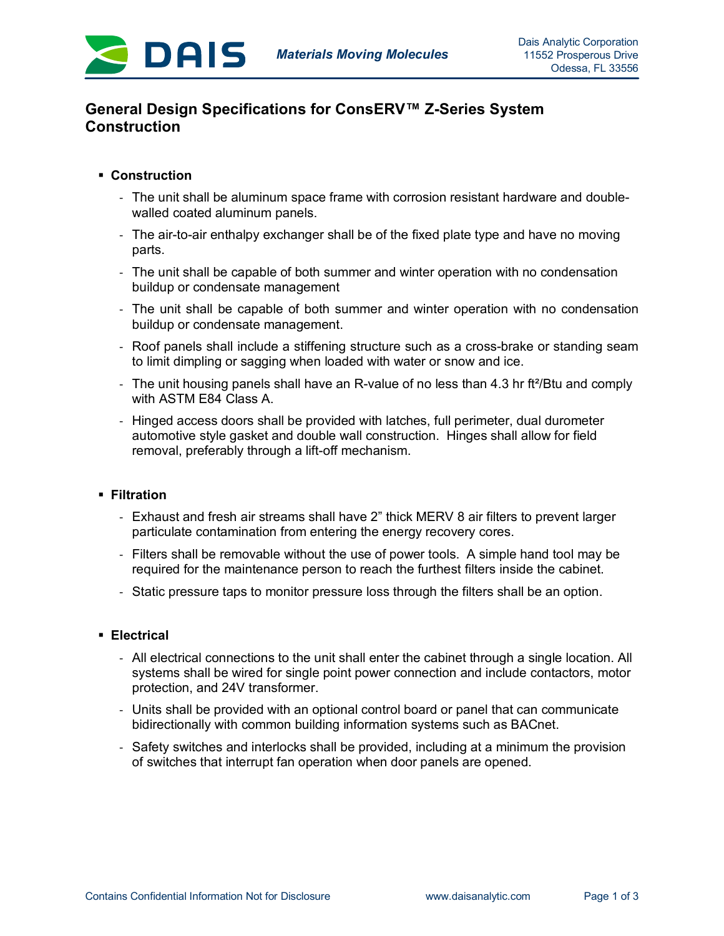

# **General Design Specifications for ConsERV™ Z-Series System Construction**

# § **Construction**

- The unit shall be aluminum space frame with corrosion resistant hardware and doublewalled coated aluminum panels.
- The air-to-air enthalpy exchanger shall be of the fixed plate type and have no moving parts.
- The unit shall be capable of both summer and winter operation with no condensation buildup or condensate management
- The unit shall be capable of both summer and winter operation with no condensation buildup or condensate management.
- Roof panels shall include a stiffening structure such as a cross-brake or standing seam to limit dimpling or sagging when loaded with water or snow and ice.
- The unit housing panels shall have an R-value of no less than 4.3 hr ft<sup>2</sup>/Btu and comply with ASTM E84 Class A.
- Hinged access doors shall be provided with latches, full perimeter, dual durometer automotive style gasket and double wall construction. Hinges shall allow for field removal, preferably through a lift-off mechanism.

# § **Filtration**

- Exhaust and fresh air streams shall have 2" thick MERV 8 air filters to prevent larger particulate contamination from entering the energy recovery cores.
- Filters shall be removable without the use of power tools. A simple hand tool may be required for the maintenance person to reach the furthest filters inside the cabinet.
- Static pressure taps to monitor pressure loss through the filters shall be an option.

#### § **Electrical**

- All electrical connections to the unit shall enter the cabinet through a single location. All systems shall be wired for single point power connection and include contactors, motor protection, and 24V transformer.
- Units shall be provided with an optional control board or panel that can communicate bidirectionally with common building information systems such as BACnet.
- Safety switches and interlocks shall be provided, including at a minimum the provision of switches that interrupt fan operation when door panels are opened.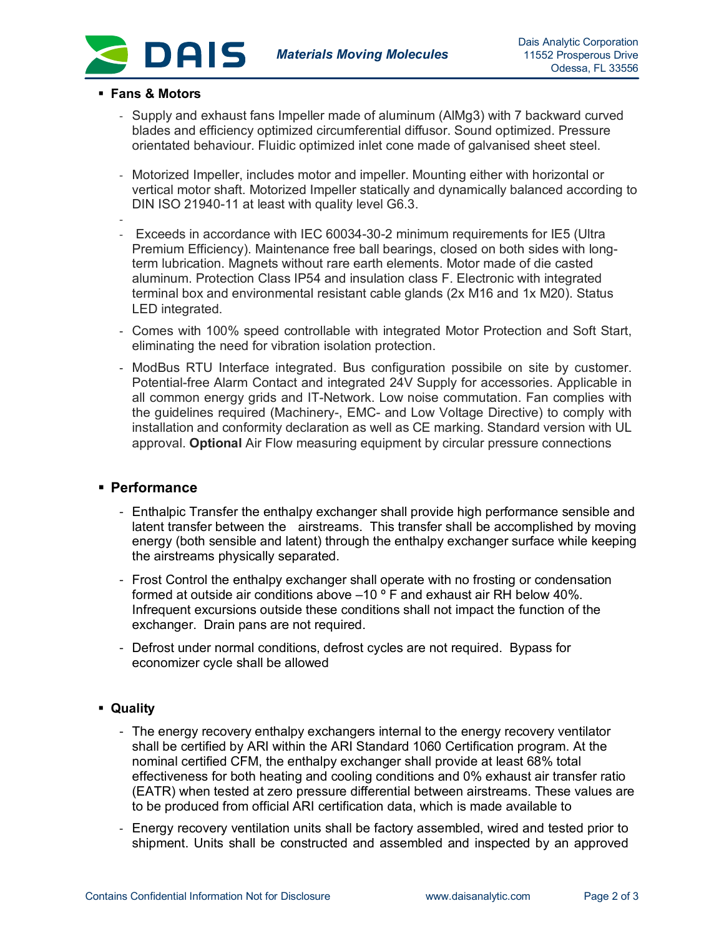

#### § **Fans & Motors**

- Supply and exhaust fans Impeller made of aluminum (AlMg3) with 7 backward curved blades and efficiency optimized circumferential diffusor. Sound optimized. Pressure orientated behaviour. Fluidic optimized inlet cone made of galvanised sheet steel.
- Motorized Impeller, includes motor and impeller. Mounting either with horizontal or vertical motor shaft. Motorized Impeller statically and dynamically balanced according to DIN ISO 21940-11 at least with quality level G6.3.
- - Exceeds in accordance with IEC 60034-30-2 minimum requirements for IE5 (Ultra Premium Efficiency). Maintenance free ball bearings, closed on both sides with longterm lubrication. Magnets without rare earth elements. Motor made of die casted aluminum. Protection Class IP54 and insulation class F. Electronic with integrated terminal box and environmental resistant cable glands (2x M16 and 1x M20). Status LED integrated.
- Comes with 100% speed controllable with integrated Motor Protection and Soft Start, eliminating the need for vibration isolation protection.
- ModBus RTU Interface integrated. Bus configuration possibile on site by customer. Potential-free Alarm Contact and integrated 24V Supply for accessories. Applicable in all common energy grids and IT-Network. Low noise commutation. Fan complies with the guidelines required (Machinery-, EMC- and Low Voltage Directive) to comply with installation and conformity declaration as well as CE marking. Standard version with UL approval. **Optional** Air Flow measuring equipment by circular pressure connections

## § **Performance**

- Enthalpic Transfer the enthalpy exchanger shall provide high performance sensible and latent transfer between the airstreams. This transfer shall be accomplished by moving energy (both sensible and latent) through the enthalpy exchanger surface while keeping the airstreams physically separated.
- Frost Control the enthalpy exchanger shall operate with no frosting or condensation formed at outside air conditions above  $-10$  ° F and exhaust air RH below 40%. Infrequent excursions outside these conditions shall not impact the function of the exchanger. Drain pans are not required.
- Defrost under normal conditions, defrost cycles are not required. Bypass for economizer cycle shall be allowed

## § **Quality**

- The energy recovery enthalpy exchangers internal to the energy recovery ventilator shall be certified by ARI within the ARI Standard 1060 Certification program. At the nominal certified CFM, the enthalpy exchanger shall provide at least 68% total effectiveness for both heating and cooling conditions and 0% exhaust air transfer ratio (EATR) when tested at zero pressure differential between airstreams. These values are to be produced from official ARI certification data, which is made available to
- Energy recovery ventilation units shall be factory assembled, wired and tested prior to shipment. Units shall be constructed and assembled and inspected by an approved